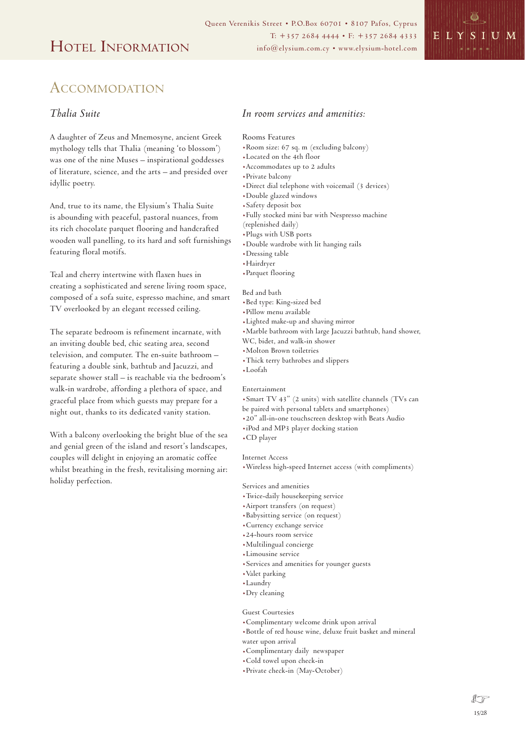

# ACCOMMODATION

### *Thalia Suite*

A daughter of Zeus and Mnemosyne, ancient Greek mythology tells that Thalia (meaning 'to blossom') was one of the nine Muses – inspirational goddesses of literature, science, and the arts – and presided over idyllic poetry.

And, true to its name, the Elysium's Thalia Suite is abounding with peaceful, pastoral nuances, from its rich chocolate parquet flooring and handcrafted wooden wall panelling, to its hard and soft furnishings featuring floral motifs.

Teal and cherry intertwine with flaxen hues in creating a sophisticated and serene living room space, composed of a sofa suite, espresso machine, and smart TV overlooked by an elegant recessed ceiling.

The separate bedroom is refinement incarnate, with an inviting double bed, chic seating area, second television, and computer. The en-suite bathroom – featuring a double sink, bathtub and Jacuzzi, and separate shower stall – is reachable via the bedroom's walk-in wardrobe, affording a plethora of space, and graceful place from which guests may prepare for a night out, thanks to its dedicated vanity station.

With a balcony overlooking the bright blue of the sea and genial green of the island and resort's landscapes, couples will delight in enjoying an aromatic coffee whilst breathing in the fresh, revitalising morning air: holiday perfection.

## *In room services and amenities:*

### Rooms Features

- .Room size: 67 sq. m (excluding balcony)
- .Located on the 4th floor
- .Accommodates up to 2 adults
- .Private balcony
- .Direct dial telephone with voicemail (3 devices)
- .Double glazed windows
- .Safety deposit box
- .Fully stocked mini bar with Nespresso machine
- (replenished daily)
- .Plugs with USB ports
- .Double wardrobe with lit hanging rails
- .Dressing table
- .Hairdryer
- .Parquet flooring

#### Bed and bath

- .Bed type: King-sized bed
- .Pillow menu available
- .Lighted make-up and shaving mirror
- .Marble bathroom with large Jacuzzi bathtub, hand shower,
- WC, bidet, and walk-in shower
- .Molton Brown toiletries
- .Thick terry bathrobes and slippers
- .Loofah

#### Entertainment

- .Smart TV 43" (2 units) with satellite channels (TVs can be paired with personal tablets and smartphones)
- .20" all-in-one touchscreen desktop with Beats Audio
- .iPod and MP3 player docking station
- .CD player

#### Internet Access

.Wireless high-speed Internet access (with compliments)

#### Services and amenities

- .Twice-daily housekeeping service
- .Airport transfers (on request)
- .Babysitting service (on request)
- .Currency exchange service
- .24-hours room service
- .Multilingual concierge
- .Limousine service
- .Services and amenities for younger guests
- .Valet parking
- .Laundry
- .Dry cleaning

#### Guest Courtesies

- .Complimentary welcome drink upon arrival
- .Bottle of red house wine, deluxe fruit basket and mineral water upon arrival
- .Complimentary daily newspaper
- .Cold towel upon check-in
	- .Private check-in (May-October)